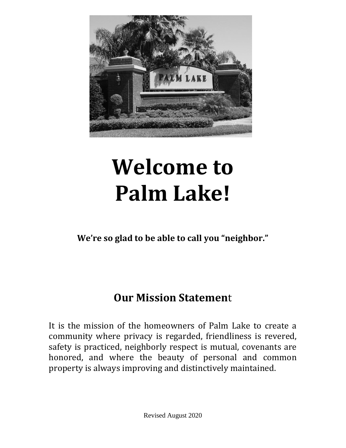

# **Welcome to Palm Lake!**

**We're so glad to be able to call you "neighbor."**

# **Our Mission Statemen**t

It is the mission of the homeowners of Palm Lake to create a community where privacy is regarded, friendliness is revered, safety is practiced, neighborly respect is mutual, covenants are honored, and where the beauty of personal and common property is always improving and distinctively maintained.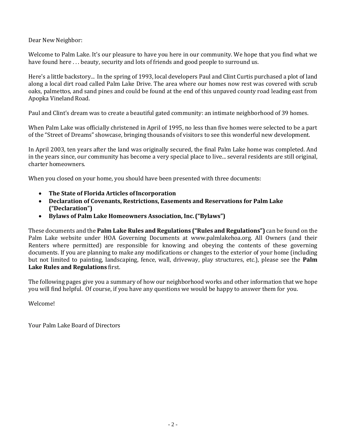Dear New Neighbor:

Welcome to Palm Lake. It's our pleasure to have you here in our community. We hope that you find what we have found here ... beauty, security and lots of friends and good people to surround us.

Here's a little backstory... In the spring of 1993, local developers Paul and Clint Curtis purchased a plot of land along a local dirt road called Palm Lake Drive. The area where our homes now rest was covered with scrub oaks, palmettos, and sand pines and could be found at the end of this unpaved county road leading east from Apopka Vineland Road.

Paul and Clint's dream was to create a beautiful gated community: an intimate neighborhood of 39 homes.

When Palm Lake was officially christened in April of 1995, no less than five homes were selected to be a part of the "Street of Dreams" showcase, bringing thousands of visitors to see this wonderful new development.

In April 2003, ten years after the land was originally secured, the final Palm Lake home was completed. And in the years since, our community has become a very special place to live... several residents are still original, charter homeowners.

When you closed on your home, you should have been presented with three documents:

- **The State of Florida Articles ofIncorporation**
- **Declaration of Covenants, Restrictions, Easements and Reservations for Palm Lake ("Declaration")**
- **Bylaws of Palm Lake Homeowners Association, Inc. ("Bylaws")**

These documents and the **Palm Lake Rules and Regulations ("Rules and Regulations")** can be found on the Palm Lake website under HOA Governing Documents at www.palmlakehoa.org. All Owners (and their Renters where permitted) are responsible for knowing and obeying the contents of these governing documents. If you are planning to make any modifications or changes to the exterior of your home (including but not limited to painting, landscaping, fence, wall, driveway, play structures, etc.), please see the **Palm Lake Rules and Regulations** first.

The following pages give you a summary of how our neighborhood works and other information that we hope you will find helpful. Of course, if you have any questions we would be happy to answer them for you.

Welcome!

Your Palm Lake Board of Directors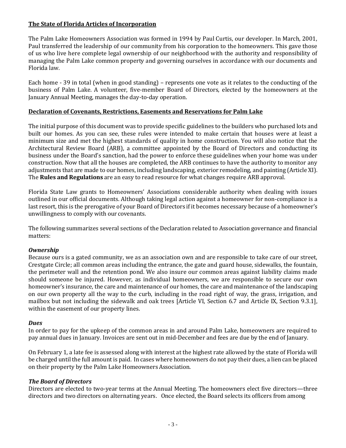# **The State of Florida Articles of Incorporation**

The Palm Lake Homeowners Association was formed in 1994 by Paul Curtis, our developer. In March, 2001, Paul transferred the leadership of our community from his corporation to the homeowners. This gave those of us who live here complete legal ownership of our neighborhood with the authority and responsibility of managing the Palm Lake common property and governing ourselves in accordance with our documents and Florida law.

Each home - 39 in total (when in good standing) – represents one vote as it relates to the conducting of the business of Palm Lake. A volunteer, five-member Board of Directors, elected by the homeowners at the January Annual Meeting, manages the day-to-day operation.

#### **Declaration of Covenants, Restrictions, Easements and Reservations for Palm Lake**

The initial purpose of this document was to provide specific guidelines to the builders who purchased lots and built our homes. As you can see, these rules were intended to make certain that houses were at least a minimum size and met the highest standards of quality in home construction. You will also notice that the Architectural Review Board (ARB), a committee appointed by the Board of Directors and conducting its business under the Board's sanction, had the power to enforce these guidelines when your home was under construction. Now that all the houses are completed, the ARB continues to have the authority to monitor any adjustments that are made to our homes, including landscaping, exterior remodeling, and painting (Article XI). The **Rules and Regulations** are an easy to read resource for what changes require ARB approval.

Florida State Law grants to Homeowners' Associations considerable authority when dealing with issues outlined in our official documents. Although taking legal action against a homeowner for non-compliance is a last resort, this is the prerogative of your Board of Directors if it becomes necessary because of a homeowner's unwillingness to comply with our covenants.

The following summarizes several sections of the Declaration related to Association governance and financial matters:

# *Ownership*

Because ours is a gated community, we as an association own and are responsible to take care of our street, Crestgate Circle; all common areas including the entrance, the gate and guard house, sidewalks, the fountain, the perimeter wall and the retention pond. We also insure our common areas against liability claims made should someone be injured. However, as individual homeowners, we are responsible to secure our own homeowner's insurance, the care and maintenance of our homes, the care and maintenance of the landscaping on our own property all the way to the curb, including in the road right of way, the grass, irrigation, and mailbox but not including the sidewalk and oak trees [Article VI, Section 6.7 and Article IX, Section 9.3.1], within the easement of our property lines.

#### *Dues*

In order to pay for the upkeep of the common areas in and around Palm Lake, homeowners are required to pay annual dues in January. Invoices are sent out in mid-December and fees are due by the end of January.

On February 1, a late fee is assessed along with interest at the highest rate allowed by the state of Florida will be charged until the full amountis paid. In cases where homeowners do not pay their dues, a lien can be placed on their property by the Palm Lake Homeowners Association.

# *The Board of Directors*

Directors are elected to two-year terms at the Annual Meeting. The homeowners elect five directors—three directors and two directors on alternating years. Once elected, the Board selects its officers from among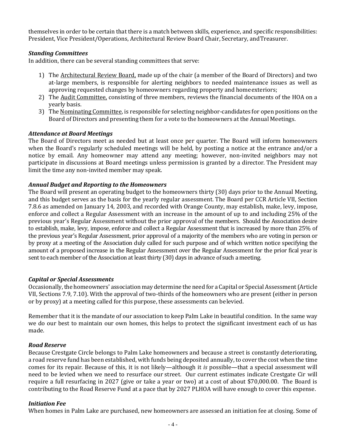themselves in order to be certain that there is a match between skills, experience, and specific responsibilities: President, Vice President/Operations, Architectural Review Board Chair, Secretary, andTreasurer.

#### *Standing Committees*

In addition, there can be several standing committees that serve:

- 1) The Architectural Review Board, made up of the chair (a member of the Board of Directors) and two at-large members, is responsible for alerting neighbors to needed maintenance issues as well as approving requested changes by homeowners regarding property and home exteriors;
- 2) The Audit Committee, consisting of three members, reviews the financial documents of the HOA on a yearly basis.
- 3) The Nominating Committee, is responsible for selecting neighbor-candidates for open positions on the Board of Directors and presenting them for a vote to the homeowners at the Annual Meetings.

#### *Attendance at Board Meetings*

The Board of Directors meet as needed but at least once per quarter. The Board will inform homeowners when the Board's regularly scheduled meetings will be held, by posting a notice at the entrance and/or a notice by email. Any homeowner may attend any meeting; however, non-invited neighbors may not participate in discussions at Board meetings unless permission is granted by a director. The President may limit the time any non-invited member may speak.

#### *Annual Budget and Reporting to the Homeowners*

The Board will present an operating budget to the homeowners thirty (30) days prior to the Annual Meeting, and this budget serves as the basis for the yearly regular assessment. The Board per CCR Article VII, Section 7.8.6 as amended on January 14, 2003, and recorded with Orange County, may establish, make, levy, impose, enforce and collect a Regular Assessment with an increase in the amount of up to and including 25% of the previous year's Regular Assessment without the prior approval of the members. Should the Association desire to establish, make, levy, impose, enforce and collect a Regular Assessment that is increased by more than 25% of the previous year's Regular Assessment, prior approval of a majority of the members who are voting in person or by proxy at a meeting of the Association duly called for such purpose and of which written notice specifying the amount of a proposed increase in the Regular Assessment over the Regular Assessment for the prior fical year is sent to each member of the Association at least thirty (30) days in advance of such a meeting.

#### *Capital or Special Assessments*

Occasionally, the homeowners' association may determine the need for a Capital or Special Assessment (Article VII, Sections 7.9, 7.10). With the approval of two-thirds of the homeowners who are present (either in person or by proxy) at a meeting called for this purpose, these assessments can belevied.

Remember that it is the mandate of our association to keep Palm Lake in beautiful condition. In the same way we do our best to maintain our own homes, this helps to protect the significant investment each of us has made.

#### *Road Reserve*

Because Crestgate Circle belongs to Palm Lake homeowners and because a street is constantly deteriorating, a road reserve fund has been established, with funds being deposited annually, to cover the cost when the time comes for its repair. Because of this, it is not likely—although it *is* possible—that a special assessment will need to be levied when we need to resurface our street. Our current estimates indicate Crestgate Cir will require a full resurfacing in 2027 (give or take a year or two) at a cost of about \$70,000.00. The Board is contributing to the Road Reserve Fund at a pace that by 2027 PLHOA will have enough to cover this expense.

#### *Initiation Fee*

When homes in Palm Lake are purchased, new homeowners are assessed an initiation fee at closing. Some of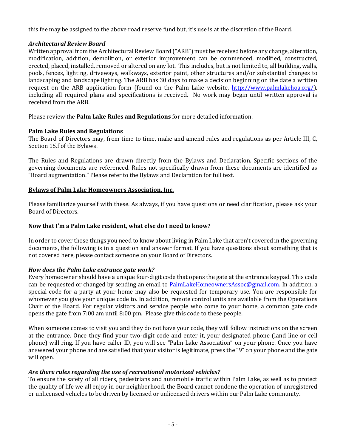this fee may be assigned to the above road reserve fund but, it's use is at the discretion of the Board.

# *Architectural Review Board*

Written approval from the Architectural Review Board ("ARB") must be received before any change, alteration, modification, addition, demolition, or exterior improvement can be commenced, modified, constructed, erected, placed, installed, removed or altered on any lot. This includes, but is not limited to, all building, walls, pools, fences, lighting, driveways, walkways, exterior paint, other structures and/or substantial changes to landscaping and landscape lighting. The ARB has 30 days to make a decision beginning on the date a written request on the ARB application form (found on the Palm Lake website, [http://www.palmlakehoa.org/\)](http://www.palmlakehoa.org/), including all required plans and specifications is received. No work may begin until written approval is received from the ARB.

Please review the **Palm Lake Rules and Regulations** for more detailed information.

# **Palm Lake Rules and Regulations**

The Board of Directors may, from time to time, make and amend rules and regulations as per Article III, C, Section 15.f of the Bylaws.

The Rules and Regulations are drawn directly from the Bylaws and Declaration. Specific sections of the governing documents are referenced. Rules not specifically drawn from these documents are identified as "Board augmentation." Please refer to the Bylaws and Declaration for full text.

# **Bylaws of Palm Lake Homeowners Association, Inc.**

Please familiarize yourself with these. As always, if you have questions or need clarification, please ask your Board of Directors.

# **Now that I'm a Palm Lake resident, what else do I need to know?**

In order to cover those things you need to know about living in Palm Lake that aren't covered in the governing documents, the following is in a question and answer format. If you have questions about something that is not covered here, please contact someone on your Board of Directors.

# *How does the Palm Lake entrance gate work?*

Every homeowner should have a unique four-digit code that opens the gate at the entrance keypad. This code can be requested or changed by sending an email to [PalmLakeHomeownersAssoc@gmail.com.](mailto:PalmLakeHomeownersAssoc@gmail.com) In addition, a special code for a party at your home may also be requested for temporary use. You are responsible for whomever you give your unique code to. In addition, remote control units are available from the Operations Chair of the Board. For regular visitors and service people who come to your home, a common gate code opens the gate from 7:00 am until 8:00 pm. Please give this code to these people.

When someone comes to visit you and they do not have your code, they will follow instructions on the screen at the entrance. Once they find your two-digit code and enter it, your designated phone (land line or cell phone) will ring. If you have caller ID, you will see "Palm Lake Association" on your phone. Once you have answered your phone and are satisfied that your visitor is legitimate, press the "9" on your phone and the gate will open.

# *Are there rules regarding the use of recreational motorized vehicles?*

To ensure the safety of all riders, pedestrians and automobile traffic within Palm Lake, as well as to protect the quality of life we all enjoy in our neighborhood, the Board cannot condone the operation of unregistered or unlicensed vehicles to be driven by licensed or unlicensed drivers within our Palm Lake community.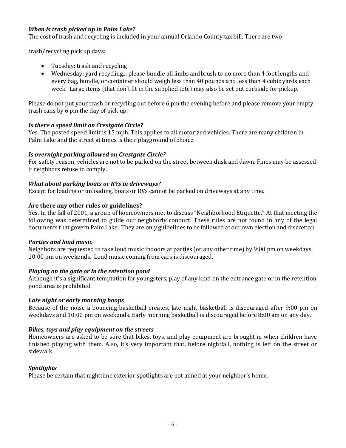# *When is trash picked up in Palm Lake?*

The cost of trash and recycling is included in your annual Orlando County tax bill. There are two

trash/recycling pick up days:

- Tuesday: trash and recycling
- Wednesday: yard recycling... please bundle all limbs andbrush to no more than 4 foot lengths and every bag, bundle, or container should weigh less than 40 pounds and less than 4 cubic yards each week. Large items (that don't fit in the supplied tote) may also be set out curbside for pickup.

Please do not put your trash or recycling out before 6 pm the evening before and please remove your empty trash cans by 6 pm the day of pick up.

# *Is there a speed limit on Crestgate Circle?*

Yes. The posted speed limit is 15 mph. This applies to all motorized vehicles. There are many children in Palm Lake and the street at times is their playground of choice.

# *Is overnight parking allowed on Crestgate Circle?*

For safety reason, vehicles are not to be parked on the street between dusk and dawn. Fines may be assessed if neighbors refuse to comply.

# *What about parking boats or RVs in driveways?*

Except for loading or unloading, boats or RVs cannot be parked on driveways at any time.

# **Are there any other rules or guidelines?**

Yes. In the fall of 2001, a group of homeowners met to discuss "Neighborhood Etiquette." At that meeting the following was determined to guide our neighborly conduct. These rules are not found in any of the legal documents that govern Palm Lake. They are only guidelines to be followed at our own election and discretion.

#### *Parties and loud music*

Neighbors are requested to take loud music indoors at parties (or any other time) by 9:00 pm on weekdays, 10:00 pm on weekends. Loud music coming from cars is discouraged.

# *Playing on the gate or in the retention pond*

Although it's a significant temptation for youngsters, play of any kind on the entrance gate or in the retention pond area is prohibited.

#### *Late night or early morning hoops*

Because of the noise a bouncing basketball creates, late night basketball is discouraged after 9:00 pm on weekdays and 10:00 pm on weekends. Early morning basketball is discouraged before 8:00 am on any day.

# *Bikes, toys and play equipment on the streets*

Homeowners are asked to be sure that bikes, toys, and play equipment are brought in when children have finished playing with them. Also, it's very important that, before nightfall, nothing is left on the street or sidewalk.

# *Spotlights*

Please be certain that nighttime exterior spotlights are not aimed at your neighbor's home.